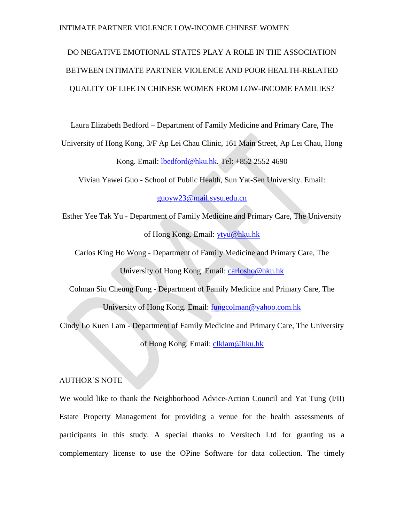# DO NEGATIVE EMOTIONAL STATES PLAY A ROLE IN THE ASSOCIATION BETWEEN INTIMATE PARTNER VIOLENCE AND POOR HEALTH-RELATED QUALITY OF LIFE IN CHINESE WOMEN FROM LOW-INCOME FAMILIES?

Laura Elizabeth Bedford – Department of Family Medicine and Primary Care, The

University of Hong Kong, 3/F Ap Lei Chau Clinic, 161 Main Street, Ap Lei Chau, Hong

Kong. Email: [lbedford@hku.hk.](mailto:lbedford@hku.hk) Tel: +852 2552 4690

Vivian Yawei Guo - School of Public Health, Sun Yat-Sen University. Email:

[guoyw23@mail.sysu.edu.cn](mailto:guoyw23@mail.sysu.edu.cn)

Esther Yee Tak Yu - Department of Family Medicine and Primary Care, The University of Hong Kong. Email: [ytyu@hku.hk](mailto:ytyu@hku.hk)

Carlos King Ho Wong - Department of Family Medicine and Primary Care, The University of Hong Kong. Email: [carlosho@hku.hk](mailto:carlosho@hku.hk)

Colman Siu Cheung Fung - Department of Family Medicine and Primary Care, The University of Hong Kong. Email: [fungcolman@yahoo.com.hk](mailto:fungcolman@yahoo.com.hk)

Cindy Lo Kuen Lam - Department of Family Medicine and Primary Care, The University of Hong Kong. Email: [clklam@hku.hk](mailto:clklam@hku.hk)

## AUTHOR'S NOTE

We would like to thank the Neighborhood Advice-Action Council and Yat Tung (I/II) Estate Property Management for providing a venue for the health assessments of participants in this study. A special thanks to Versitech Ltd for granting us a complementary license to use the OPine Software for data collection. The timely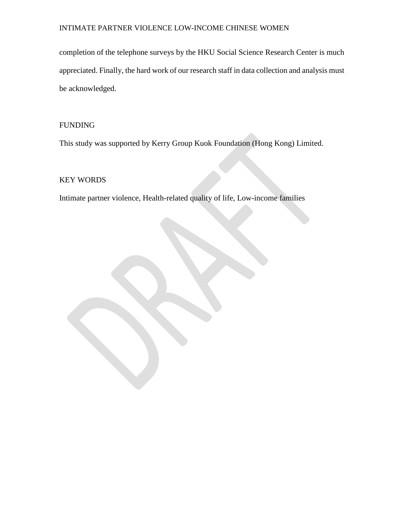completion of the telephone surveys by the HKU Social Science Research Center is much appreciated. Finally, the hard work of our research staff in data collection and analysis must be acknowledged.

# FUNDING

This study was supported by Kerry Group Kuok Foundation (Hong Kong) Limited.

# KEY WORDS

Intimate partner violence, Health-related quality of life, Low-income families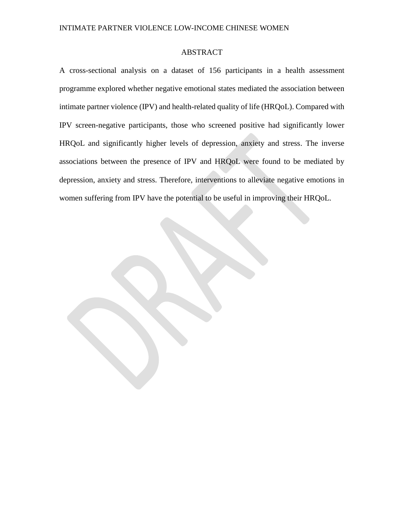# ABSTRACT

A cross-sectional analysis on a dataset of 156 participants in a health assessment programme explored whether negative emotional states mediated the association between intimate partner violence (IPV) and health-related quality of life (HRQoL). Compared with IPV screen-negative participants, those who screened positive had significantly lower HRQoL and significantly higher levels of depression, anxiety and stress. The inverse associations between the presence of IPV and HRQoL were found to be mediated by depression, anxiety and stress. Therefore, interventions to alleviate negative emotions in women suffering from IPV have the potential to be useful in improving their HRQoL.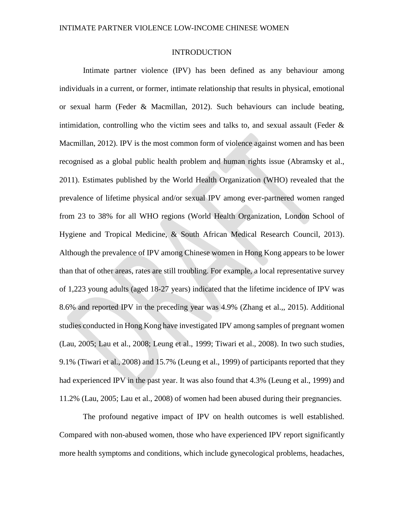## INTRODUCTION

Intimate partner violence (IPV) has been defined as any behaviour among individuals in a current, or former, intimate relationship that results in physical, emotional or sexual harm (Feder & Macmillan, 2012). Such behaviours can include beating, intimidation, controlling who the victim sees and talks to, and sexual assault (Feder  $\&$ Macmillan, 2012). IPV is the most common form of violence against women and has been recognised as a global public health problem and human rights issue (Abramsky et al., 2011). Estimates published by the World Health Organization (WHO) revealed that the prevalence of lifetime physical and/or sexual IPV among ever-partnered women ranged from 23 to 38% for all WHO regions (World Health Organization, London School of Hygiene and Tropical Medicine, & South African Medical Research Council, 2013). Although the prevalence of IPV among Chinese women in Hong Kong appears to be lower than that of other areas, rates are still troubling. For example, a local representative survey of 1,223 young adults (aged 18-27 years) indicated that the lifetime incidence of IPV was 8.6% and reported IPV in the preceding year was 4.9% (Zhang et al.,, 2015). Additional studies conducted in Hong Kong have investigated IPV among samples of pregnant women (Lau, 2005; Lau et al., 2008; Leung et al., 1999; Tiwari et al., 2008). In two such studies, 9.1% (Tiwari et al., 2008) and 15.7% (Leung et al., 1999) of participants reported that they had experienced IPV in the past year. It was also found that 4.3% (Leung et al., 1999) and 11.2% (Lau, 2005; Lau et al., 2008) of women had been abused during their pregnancies.

The profound negative impact of IPV on health outcomes is well established. Compared with non-abused women, those who have experienced IPV report significantly more health symptoms and conditions, which include gynecological problems, headaches,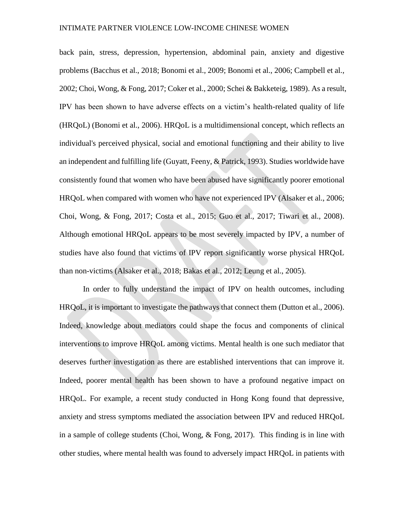back pain, stress, depression, hypertension, abdominal pain, anxiety and digestive problems (Bacchus et al., 2018; Bonomi et al., 2009; Bonomi et al., 2006; Campbell et al., 2002; Choi, Wong, & Fong, 2017; Coker et al., 2000; Schei & Bakketeig, 1989). As a result, IPV has been shown to have adverse effects on a victim's health-related quality of life (HRQoL) (Bonomi et al., 2006). HRQoL is a multidimensional concept, which reflects an individual's perceived physical, social and emotional functioning and their ability to live an independent and fulfilling life (Guyatt, Feeny, & Patrick, 1993). Studies worldwide have consistently found that women who have been abused have significantly poorer emotional HRQoL when compared with women who have not experienced IPV (Alsaker et al., 2006; Choi, Wong, & Fong, 2017; Costa et al., 2015; Guo et al., 2017; Tiwari et al., 2008). Although emotional HRQoL appears to be most severely impacted by IPV, a number of studies have also found that victims of IPV report significantly worse physical HRQoL than non-victims (Alsaker et al., 2018; Bakas et al., 2012; Leung et al., 2005).

In order to fully understand the impact of IPV on health outcomes, including HRQoL, it is important to investigate the pathways that connect them (Dutton et al., 2006). Indeed, knowledge about mediators could shape the focus and components of clinical interventions to improve HRQoL among victims. Mental health is one such mediator that deserves further investigation as there are established interventions that can improve it. Indeed, poorer mental health has been shown to have a profound negative impact on HRQoL. For example, a recent study conducted in Hong Kong found that depressive, anxiety and stress symptoms mediated the association between IPV and reduced HRQoL in a sample of college students (Choi, Wong, & Fong, 2017). This finding is in line with other studies, where mental health was found to adversely impact HRQoL in patients with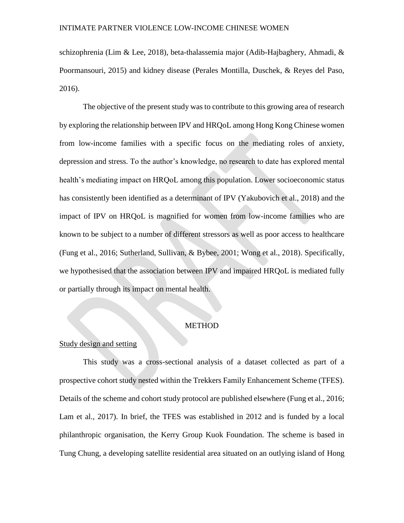schizophrenia (Lim & Lee, 2018), beta-thalassemia major (Adib-Hajbaghery, Ahmadi, & Poormansouri, 2015) and kidney disease (Perales Montilla, Duschek, & Reyes del Paso, 2016).

The objective of the present study was to contribute to this growing area of research by exploring the relationship between IPV and HRQoL among Hong Kong Chinese women from low-income families with a specific focus on the mediating roles of anxiety, depression and stress. To the author's knowledge, no research to date has explored mental health's mediating impact on HRQoL among this population. Lower socioeconomic status has consistently been identified as a determinant of IPV (Yakubovich et al., 2018) and the impact of IPV on HRQoL is magnified for women from low-income families who are known to be subject to a number of different stressors as well as poor access to healthcare (Fung et al., 2016; Sutherland, Sullivan, & Bybee, 2001; Wong et al., 2018). Specifically, we hypothesised that the association between IPV and impaired HRQoL is mediated fully or partially through its impact on mental health.

## **METHOD**

## Study design and setting

This study was a cross-sectional analysis of a dataset collected as part of a prospective cohort study nested within the Trekkers Family Enhancement Scheme (TFES). Details of the scheme and cohort study protocol are published elsewhere (Fung et al., 2016; Lam et al., 2017). In brief, the TFES was established in 2012 and is funded by a local philanthropic organisation, the Kerry Group Kuok Foundation. The scheme is based in Tung Chung, a developing satellite residential area situated on an outlying island of Hong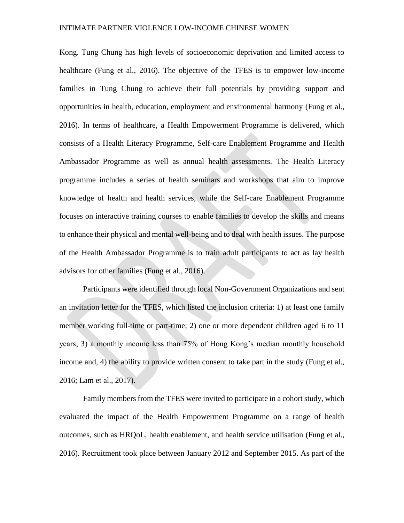Kong. Tung Chung has high levels of socioeconomic deprivation and limited access to healthcare (Fung et al., 2016). The objective of the TFES is to empower low-income families in Tung Chung to achieve their full potentials by providing support and opportunities in health, education, employment and environmental harmony (Fung et al., 2016). In terms of healthcare, a Health Empowerment Programme is delivered, which consists of a Health Literacy Programme, Self-care Enablement Programme and Health Ambassador Programme as well as annual health assessments. The Health Literacy programme includes a series of health seminars and workshops that aim to improve knowledge of health and health services, while the Self-care Enablement Programme focuses on interactive training courses to enable families to develop the skills and means to enhance their physical and mental well-being and to deal with health issues. The purpose of the Health Ambassador Programme is to train adult participants to act as lay health advisors for other families (Fung et al., 2016).

Participants were identified through local Non-Government Organizations and sent an invitation letter for the TFES, which listed the inclusion criteria: 1) at least one family member working full-time or part-time; 2) one or more dependent children aged 6 to 11 years; 3) a monthly income less than 75% of Hong Kong's median monthly household income and, 4) the ability to provide written consent to take part in the study (Fung et al., 2016; Lam et al., 2017).

Family members from the TFES were invited to participate in a cohort study, which evaluated the impact of the Health Empowerment Programme on a range of health outcomes, such as HRQoL, health enablement, and health service utilisation (Fung et al., 2016). Recruitment took place between January 2012 and September 2015. As part of the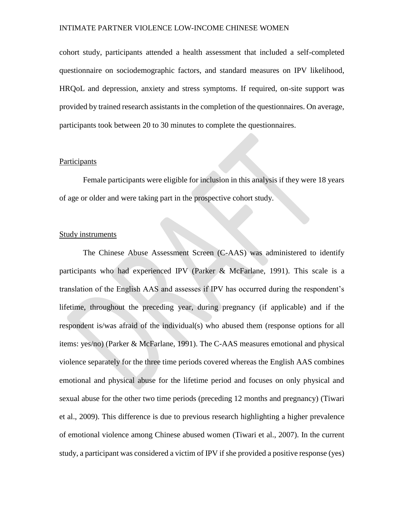cohort study, participants attended a health assessment that included a self-completed questionnaire on sociodemographic factors, and standard measures on IPV likelihood, HRQoL and depression, anxiety and stress symptoms. If required, on-site support was provided by trained research assistants in the completion of the questionnaires. On average, participants took between 20 to 30 minutes to complete the questionnaires.

## **Participants**

Female participants were eligible for inclusion in this analysis if they were 18 years of age or older and were taking part in the prospective cohort study.

## Study instruments

The Chinese Abuse Assessment Screen (C-AAS) was administered to identify participants who had experienced IPV (Parker & McFarlane, 1991). This scale is a translation of the English AAS and assesses if IPV has occurred during the respondent's lifetime, throughout the preceding year, during pregnancy (if applicable) and if the respondent is/was afraid of the individual(s) who abused them (response options for all items: yes/no) (Parker & McFarlane, 1991). The C-AAS measures emotional and physical violence separately for the three time periods covered whereas the English AAS combines emotional and physical abuse for the lifetime period and focuses on only physical and sexual abuse for the other two time periods (preceding 12 months and pregnancy) (Tiwari et al., 2009). This difference is due to previous research highlighting a higher prevalence of emotional violence among Chinese abused women (Tiwari et al., 2007). In the current study, a participant was considered a victim of IPV if she provided a positive response (yes)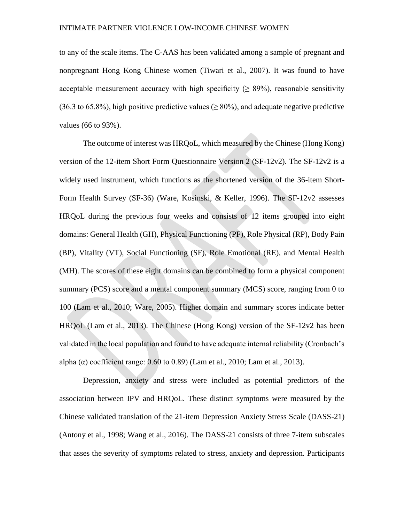to any of the scale items. The C-AAS has been validated among a sample of pregnant and nonpregnant Hong Kong Chinese women (Tiwari et al., 2007). It was found to have acceptable measurement accuracy with high specificity ( $\geq$  89%), reasonable sensitivity (36.3 to 65.8%), high positive predictive values ( $\geq 80\%$ ), and adequate negative predictive values (66 to 93%).

The outcome of interest was HRQoL, which measured by the Chinese (Hong Kong) version of the 12-item Short Form Questionnaire Version 2 (SF-12v2). The SF-12v2 is a widely used instrument, which functions as the shortened version of the 36-item Short-Form Health Survey (SF-36) (Ware, Kosinski, & Keller, 1996). The SF-12v2 assesses HRQoL during the previous four weeks and consists of 12 items grouped into eight domains: General Health (GH), Physical Functioning (PF), Role Physical (RP), Body Pain (BP), Vitality (VT), Social Functioning (SF), Role Emotional (RE), and Mental Health (MH). The scores of these eight domains can be combined to form a physical component summary (PCS) score and a mental component summary (MCS) score, ranging from 0 to 100 (Lam et al., 2010; Ware, 2005). Higher domain and summary scores indicate better HRQoL (Lam et al., 2013). The Chinese (Hong Kong) version of the SF-12v2 has been validated in the local population and found to have adequate internal reliability (Cronbach's alpha  $(\alpha)$  coefficient range: 0.60 to 0.89) (Lam et al., 2010; Lam et al., 2013).

Depression, anxiety and stress were included as potential predictors of the association between IPV and HRQoL. These distinct symptoms were measured by the Chinese validated translation of the 21-item Depression Anxiety Stress Scale (DASS-21) (Antony et al., 1998; Wang et al., 2016). The DASS-21 consists of three 7-item subscales that asses the severity of symptoms related to stress, anxiety and depression. Participants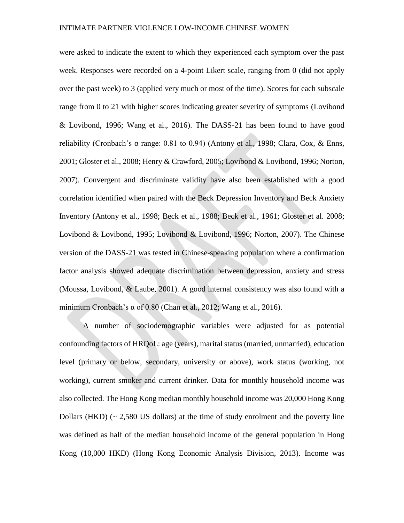were asked to indicate the extent to which they experienced each symptom over the past week. Responses were recorded on a 4-point Likert scale, ranging from 0 (did not apply over the past week) to 3 (applied very much or most of the time). Scores for each subscale range from 0 to 21 with higher scores indicating greater severity of symptoms (Lovibond & Lovibond, 1996; Wang et al., 2016). The DASS-21 has been found to have good reliability (Cronbach's  $\alpha$  range: 0.81 to 0.94) (Antony et al., 1998; Clara, Cox, & Enns, 2001; Gloster et al., 2008; Henry & Crawford, 2005; Lovibond & Lovibond, 1996; Norton, 2007). Convergent and discriminate validity have also been established with a good correlation identified when paired with the Beck Depression Inventory and Beck Anxiety Inventory (Antony et al., 1998; Beck et al., 1988; Beck et al., 1961; Gloster et al. 2008; Lovibond & Lovibond, 1995; Lovibond & Lovibond, 1996; Norton, 2007). The Chinese version of the DASS-21 was tested in Chinese-speaking population where a confirmation factor analysis showed adequate discrimination between depression, anxiety and stress (Moussa, Lovibond, & Laube, 2001). A good internal consistency was also found with a minimum Cronbach's  $\alpha$  of 0.80 (Chan et al., 2012; Wang et al., 2016).

A number of sociodemographic variables were adjusted for as potential confounding factors of HRQoL: age (years), marital status (married, unmarried), education level (primary or below, secondary, university or above), work status (working, not working), current smoker and current drinker. Data for monthly household income was also collected. The Hong Kong median monthly household income was 20,000 Hong Kong Dollars (HKD)  $\sim$  2.580 US dollars) at the time of study enrolment and the poverty line was defined as half of the median household income of the general population in Hong Kong (10,000 HKD) (Hong Kong Economic Analysis Division, 2013). Income was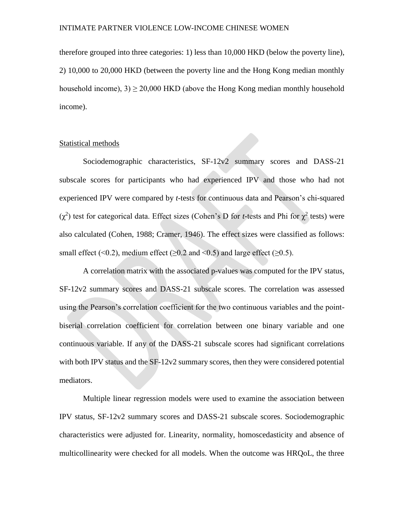therefore grouped into three categories: 1) less than 10,000 HKD (below the poverty line), 2) 10,000 to 20,000 HKD (between the poverty line and the Hong Kong median monthly household income),  $3 \ge 20,000$  HKD (above the Hong Kong median monthly household income).

## Statistical methods

Sociodemographic characteristics, SF-12v2 summary scores and DASS-21 subscale scores for participants who had experienced IPV and those who had not experienced IPV were compared by *t*-tests for continuous data and Pearson's chi-squared  $(χ<sup>2</sup>)$  test for categorical data. Effect sizes (Cohen's D for *t*-tests and Phi for  $χ<sup>2</sup>$  tests) were also calculated (Cohen, 1988; Cramer, 1946). The effect sizes were classified as follows: small effect (<0.2), medium effect ( $\geq 0.2$  and  $\leq 0.5$ ) and large effect ( $\geq 0.5$ ).

A correlation matrix with the associated p-values was computed for the IPV status, SF-12v2 summary scores and DASS-21 subscale scores. The correlation was assessed using the Pearson's correlation coefficient for the two continuous variables and the pointbiserial correlation coefficient for correlation between one binary variable and one continuous variable. If any of the DASS-21 subscale scores had significant correlations with both IPV status and the SF-12v2 summary scores, then they were considered potential mediators.

Multiple linear regression models were used to examine the association between IPV status, SF-12v2 summary scores and DASS-21 subscale scores. Sociodemographic characteristics were adjusted for. Linearity, normality, homoscedasticity and absence of multicollinearity were checked for all models. When the outcome was HRQoL, the three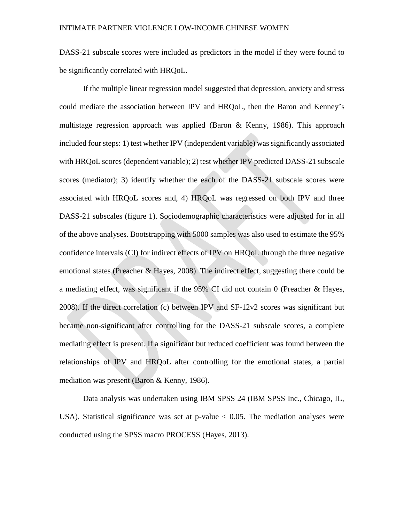DASS-21 subscale scores were included as predictors in the model if they were found to be significantly correlated with HRQoL.

If the multiple linear regression model suggested that depression, anxiety and stress could mediate the association between IPV and HRQoL, then the Baron and Kenney's multistage regression approach was applied (Baron & Kenny, 1986). This approach included four steps: 1) test whether IPV (independent variable) was significantly associated with HRQoL scores (dependent variable); 2) test whether IPV predicted DASS-21 subscale scores (mediator); 3) identify whether the each of the DASS-21 subscale scores were associated with HRQoL scores and, 4) HRQoL was regressed on both IPV and three DASS-21 subscales (figure 1). Sociodemographic characteristics were adjusted for in all of the above analyses. Bootstrapping with 5000 samples was also used to estimate the 95% confidence intervals (CI) for indirect effects of IPV on HRQoL through the three negative emotional states (Preacher & Hayes, 2008). The indirect effect, suggesting there could be a mediating effect, was significant if the 95% CI did not contain 0 (Preacher & Hayes, 2008). If the direct correlation (c) between IPV and SF-12v2 scores was significant but became non-significant after controlling for the DASS-21 subscale scores, a complete mediating effect is present. If a significant but reduced coefficient was found between the relationships of IPV and HRQoL after controlling for the emotional states, a partial mediation was present (Baron & Kenny, 1986).

Data analysis was undertaken using IBM SPSS 24 (IBM SPSS Inc., Chicago, IL, USA). Statistical significance was set at  $p$ -value  $\lt$  0.05. The mediation analyses were conducted using the SPSS macro PROCESS (Hayes, 2013).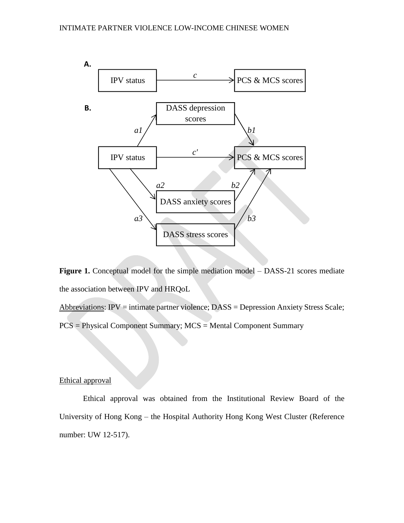

**Figure 1.** Conceptual model for the simple mediation model – DASS-21 scores mediate the association between IPV and HRQoL

Abbreviations: IPV = intimate partner violence; DASS = Depression Anxiety Stress Scale; PCS = Physical Component Summary; MCS = Mental Component Summary

## Ethical approval

Ethical approval was obtained from the Institutional Review Board of the University of Hong Kong – the Hospital Authority Hong Kong West Cluster (Reference number: UW 12-517).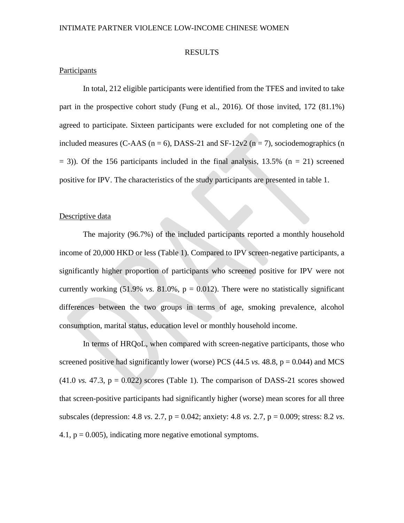## RESULTS

## **Participants**

In total, 212 eligible participants were identified from the TFES and invited to take part in the prospective cohort study (Fung et al., 2016). Of those invited, 172 (81.1%) agreed to participate. Sixteen participants were excluded for not completing one of the included measures (C-AAS ( $n = 6$ ), DASS-21 and SF-12v2 ( $n = 7$ ), sociodemographics (n  $=$  3)). Of the 156 participants included in the final analysis, 13.5% (n  $=$  21) screened positive for IPV. The characteristics of the study participants are presented in table 1.

## Descriptive data

The majority (96.7%) of the included participants reported a monthly household income of 20,000 HKD or less (Table 1). Compared to IPV screen-negative participants, a significantly higher proportion of participants who screened positive for IPV were not currently working  $(51.9\% \text{ vs. } 81.0\% , p = 0.012)$ . There were no statistically significant differences between the two groups in terms of age, smoking prevalence, alcohol consumption, marital status, education level or monthly household income.

In terms of HRQoL, when compared with screen-negative participants, those who screened positive had significantly lower (worse) PCS  $(44.5 \text{ vs. } 48.8, p = 0.044)$  and MCS  $(41.0 \text{ vs. } 47.3, \text{ p} = 0.022)$  scores (Table 1). The comparison of DASS-21 scores showed that screen-positive participants had significantly higher (worse) mean scores for all three subscales (depression: 4.8 *vs*. 2.7, p = 0.042; anxiety: 4.8 *vs*. 2.7, p = 0.009; stress: 8.2 *vs*. 4.1,  $p = 0.005$ ), indicating more negative emotional symptoms.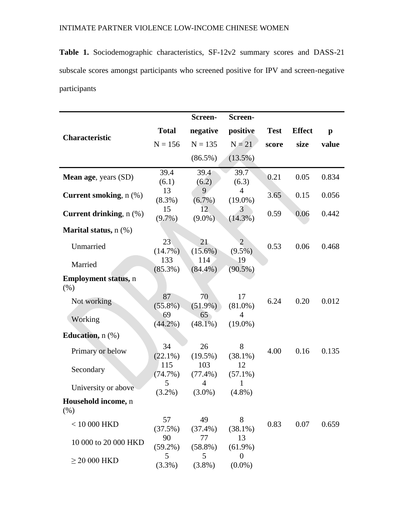**Table 1.** Sociodemographic characteristics, SF-12v2 summary scores and DASS-21 subscale scores amongst participants who screened positive for IPV and screen-negative participants

|                                    |                   | Screen-           | Screen-                      |             |               |              |
|------------------------------------|-------------------|-------------------|------------------------------|-------------|---------------|--------------|
| Characteristic                     | <b>Total</b>      | negative          | positive                     | <b>Test</b> | <b>Effect</b> | $\mathbf{p}$ |
|                                    | $N = 156$         | $N = 135$         | $N = 21$                     | score       | size          | value        |
|                                    |                   | $(86.5\%)$        | $(13.5\%)$                   |             |               |              |
| <b>Mean age, years (SD)</b>        | 39.4<br>(6.1)     | 39.4<br>(6.2)     | 39.7<br>(6.3)                | 0.21        | 0.05          | 0.834        |
| <b>Current smoking</b> , n (%)     | 13<br>$(8.3\%)$   | 9<br>$(6.7\%)$    | $\overline{4}$<br>$(19.0\%)$ | 3.65        | 0.15          | 0.056        |
| Current drinking, $n$ $(\%)$       | 15<br>$(9.7\%)$   | 12<br>$(9.0\%)$   | 3<br>$(14.3\%)$              | 0.59        | 0.06          | 0.442        |
| Marital status, n (%)              |                   |                   |                              |             |               |              |
| Unmarried                          | 23<br>$(14.7\%)$  | 21<br>$(15.6\%)$  | $\overline{2}$<br>$(9.5\%)$  | 0.53        | 0.06          | 0.468        |
| Married                            | 133<br>$(85.3\%)$ | 114<br>$(84.4\%)$ | 19<br>$(90.5\%)$             |             |               |              |
| <b>Employment status, n</b><br>(%) |                   |                   |                              |             |               |              |
| Not working                        | 87<br>$(55.8\%)$  | 70<br>$(51.9\%)$  | 17<br>$(81.0\%)$             | 6.24        | 0.20          | 0.012        |
| Working                            | 69<br>$(44.2\%)$  | 65<br>$(48.1\%)$  | $\overline{4}$<br>$(19.0\%)$ |             |               |              |
| Education, $n$ $(\%)$              |                   |                   |                              |             |               |              |
| Primary or below                   | 34<br>$(22.1\%)$  | 26<br>$(19.5\%)$  | 8<br>$(38.1\%)$              | 4.00        | 0.16          | 0.135        |
| Secondary                          | 115<br>(74.7%)    | 103<br>$(77.4\%)$ | 12<br>$(57.1\%)$             |             |               |              |
| University or above                | 5<br>$(3.2\%)$    | 4<br>$(3.0\%)$    | 1<br>$(4.8\%)$               |             |               |              |
| Household income, n<br>(% )        |                   |                   |                              |             |               |              |
| $<$ 10 000 HKD                     | 57<br>(37.5%)     | 49<br>$(37.4\%)$  | 8<br>$(38.1\%)$              | 0.83        | 0.07          | 0.659        |
| 10 000 to 20 000 HKD               | 90<br>$(59.2\%)$  | 77<br>$(58.8\%)$  | 13<br>$(61.9\%)$             |             |               |              |
| $\geq$ 20 000 HKD                  | 5<br>(3.3%)       | 5<br>$(3.8\%)$    | $\overline{0}$<br>$(0.0\%)$  |             |               |              |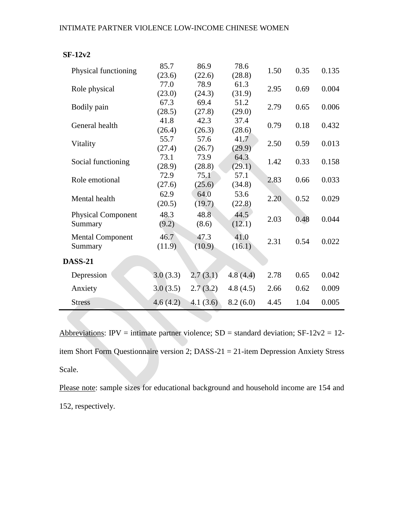| Physical functioning      | 85.7     | 86.9        | 78.6     | 1.50 | 0.35 | 0.135 |
|---------------------------|----------|-------------|----------|------|------|-------|
|                           | (23.6)   | (22.6)      | (28.8)   |      |      |       |
| Role physical             | 77.0     | 78.9        | 61.3     | 2.95 | 0.69 | 0.004 |
|                           | (23.0)   | (24.3)      | (31.9)   |      |      |       |
| Bodily pain               | 67.3     | 69.4        | 51.2     | 2.79 | 0.65 | 0.006 |
|                           | (28.5)   | (27.8)      | (29.0)   |      |      |       |
| General health            | 41.8     | 42.3        | 37.4     | 0.79 | 0.18 | 0.432 |
|                           | (26.4)   | (26.3)      | (28.6)   |      |      |       |
| Vitality                  | 55.7     | 57.6        | 41.7     | 2.50 | 0.59 | 0.013 |
|                           | (27.4)   | (26.7)      | (29.9)   |      |      |       |
| Social functioning        | 73.1     | 73.9        | 64.3     | 1.42 | 0.33 | 0.158 |
|                           | (28.9)   | (28.8)      | (29.1)   |      |      |       |
| Role emotional            | 72.9     | 75.1        | 57.1     | 2.83 | 0.66 | 0.033 |
|                           | (27.6)   | (25.6)      | (34.8)   |      |      |       |
| Mental health             | 62.9     | 64.0        | 53.6     | 2.20 | 0.52 | 0.029 |
|                           | (20.5)   | (19.7)      | (22.8)   |      |      |       |
| <b>Physical Component</b> | 48.3     | 48.8        | 44.5     | 2.03 | 0.48 | 0.044 |
| Summary                   | (9.2)    | (8.6)       | (12.1)   |      |      |       |
| <b>Mental Component</b>   | 46.7     | 47.3        | 41.0     |      |      |       |
| Summary                   | (11.9)   | (10.9)      | (16.1)   | 2.31 | 0.54 | 0.022 |
|                           |          |             |          |      |      |       |
| <b>DASS-21</b>            |          |             |          |      |      |       |
| Depression                | 3.0(3.3) | 2.7(3.1)    | 4.8(4.4) | 2.78 | 0.65 | 0.042 |
| Anxiety                   | 3.0(3.5) | 2.7(3.2)    | 4.8(4.5) | 2.66 | 0.62 | 0.009 |
| <b>Stress</b>             | 4.6(4.2) | 4.1 $(3.6)$ | 8.2(6.0) | 4.45 | 1.04 | 0.005 |

Abbreviations: IPV = intimate partner violence;  $SD =$  standard deviation;  $SF-12v2 = 12$ item Short Form Questionnaire version 2; DASS-21 = 21-item Depression Anxiety Stress Scale.

Please note: sample sizes for educational background and household income are 154 and 152, respectively.

## **SF-12v2**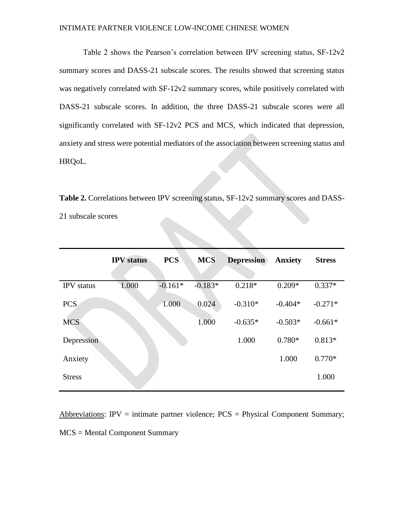Table 2 shows the Pearson's correlation between IPV screening status, SF-12v2 summary scores and DASS-21 subscale scores. The results showed that screening status was negatively correlated with SF-12v2 summary scores, while positively correlated with DASS-21 subscale scores. In addition, the three DASS-21 subscale scores were all significantly correlated with SF-12v2 PCS and MCS, which indicated that depression, anxiety and stress were potential mediators of the association between screening status and HRQoL.

Table 2. Correlations between IPV screening status, SF-12v2 summary scores and DASS-21 subscale scores

|                   | <b>IPV</b> status | <b>PCS</b> | <b>MCS</b> | <b>Depression</b> | <b>Anxiety</b> | <b>Stress</b> |
|-------------------|-------------------|------------|------------|-------------------|----------------|---------------|
| <b>IPV</b> status | 1.000             | $-0.161*$  | $-0.183*$  | $0.218*$          | $0.209*$       | $0.337*$      |
| <b>PCS</b>        |                   | 1.000      | 0.024      | $-0.310*$         | $-0.404*$      | $-0.271*$     |
| <b>MCS</b>        |                   |            | 1.000      | $-0.635*$         | $-0.503*$      | $-0.661*$     |
| Depression        |                   |            |            | 1.000             | $0.780*$       | $0.813*$      |
| Anxiety           |                   |            |            |                   | 1.000          | $0.770*$      |
| <b>Stress</b>     |                   |            |            |                   |                | 1.000         |

Abbreviations: IPV = intimate partner violence;  $PCS =$  Physical Component Summary; MCS = Mental Component Summary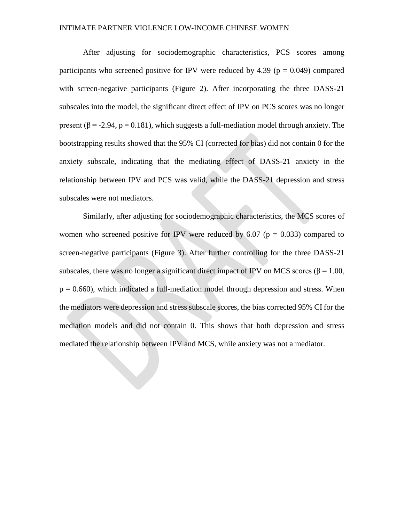After adjusting for sociodemographic characteristics, PCS scores among participants who screened positive for IPV were reduced by 4.39 ( $p = 0.049$ ) compared with screen-negative participants (Figure 2). After incorporating the three DASS-21 subscales into the model, the significant direct effect of IPV on PCS scores was no longer present ( $\beta$  = -2.94, p = 0.181), which suggests a full-mediation model through anxiety. The bootstrapping results showed that the 95% CI (corrected for bias) did not contain 0 for the anxiety subscale, indicating that the mediating effect of DASS-21 anxiety in the relationship between IPV and PCS was valid, while the DASS-21 depression and stress subscales were not mediators.

Similarly, after adjusting for sociodemographic characteristics, the MCS scores of women who screened positive for IPV were reduced by 6.07 ( $p = 0.033$ ) compared to screen-negative participants (Figure 3). After further controlling for the three DASS-21 subscales, there was no longer a significant direct impact of IPV on MCS scores ( $\beta$  = 1.00,  $p = 0.660$ , which indicated a full-mediation model through depression and stress. When the mediators were depression and stress subscale scores, the bias corrected 95% CI for the mediation models and did not contain 0. This shows that both depression and stress mediated the relationship between IPV and MCS, while anxiety was not a mediator.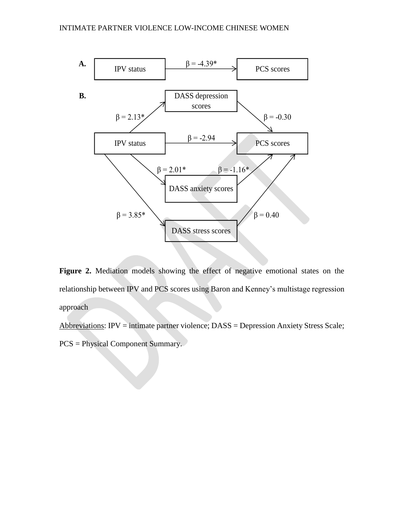

Figure 2. Mediation models showing the effect of negative emotional states on the relationship between IPV and PCS scores using Baron and Kenney's multistage regression approach

Abbreviations: IPV = intimate partner violence; DASS = Depression Anxiety Stress Scale; PCS = Physical Component Summary.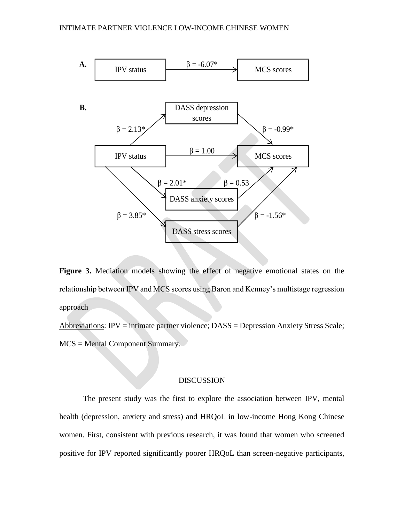

Figure 3. Mediation models showing the effect of negative emotional states on the relationship between IPV and MCS scores using Baron and Kenney's multistage regression approach

Abbreviations: IPV = intimate partner violence; DASS = Depression Anxiety Stress Scale; MCS = Mental Component Summary.

## DISCUSSION

The present study was the first to explore the association between IPV, mental health (depression, anxiety and stress) and HRQoL in low-income Hong Kong Chinese women. First, consistent with previous research, it was found that women who screened positive for IPV reported significantly poorer HRQoL than screen-negative participants,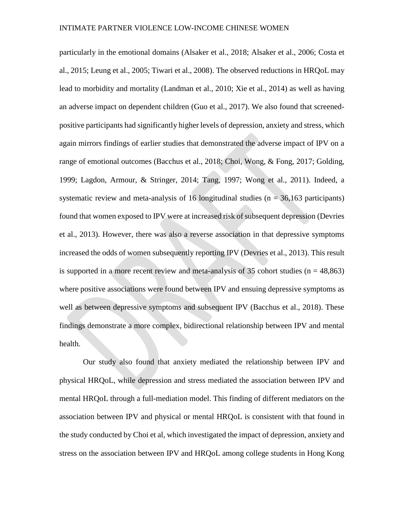particularly in the emotional domains (Alsaker et al., 2018; Alsaker et al., 2006; Costa et al., 2015; Leung et al., 2005; Tiwari et al., 2008). The observed reductions in HRQoL may lead to morbidity and mortality (Landman et al., 2010; Xie et al., 2014) as well as having an adverse impact on dependent children (Guo et al., 2017). We also found that screenedpositive participants had significantly higher levels of depression, anxiety and stress, which again mirrors findings of earlier studies that demonstrated the adverse impact of IPV on a range of emotional outcomes (Bacchus et al., 2018; Choi, Wong, & Fong, 2017; Golding, 1999; Lagdon, Armour, & Stringer, 2014; Tang, 1997; Wong et al., 2011). Indeed, a systematic review and meta-analysis of 16 longitudinal studies ( $n = 36,163$  participants) found that women exposed to IPV were at increased risk of subsequent depression (Devries et al., 2013). However, there was also a reverse association in that depressive symptoms increased the odds of women subsequently reporting IPV (Devries et al., 2013). This result is supported in a more recent review and meta-analysis of 35 cohort studies  $(n = 48,863)$ where positive associations were found between IPV and ensuing depressive symptoms as well as between depressive symptoms and subsequent IPV (Bacchus et al., 2018). These findings demonstrate a more complex, bidirectional relationship between IPV and mental health.

Our study also found that anxiety mediated the relationship between IPV and physical HRQoL, while depression and stress mediated the association between IPV and mental HRQoL through a full-mediation model. This finding of different mediators on the association between IPV and physical or mental HRQoL is consistent with that found in the study conducted by Choi et al, which investigated the impact of depression, anxiety and stress on the association between IPV and HRQoL among college students in Hong Kong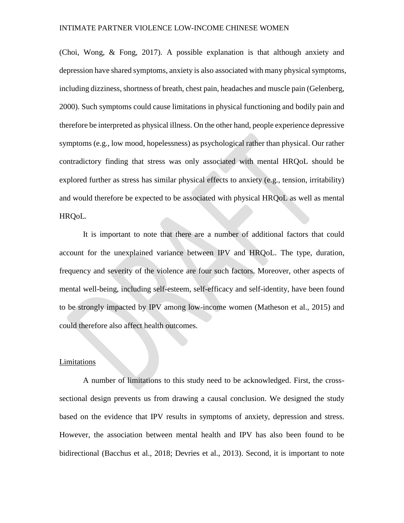(Choi, Wong, & Fong, 2017). A possible explanation is that although anxiety and depression have shared symptoms, anxiety is also associated with many physical symptoms, including dizziness, shortness of breath, chest pain, headaches and muscle pain (Gelenberg, 2000). Such symptoms could cause limitations in physical functioning and bodily pain and therefore be interpreted as physical illness. On the other hand, people experience depressive symptoms (e.g., low mood, hopelessness) as psychological rather than physical. Our rather contradictory finding that stress was only associated with mental HRQoL should be explored further as stress has similar physical effects to anxiety (e.g., tension, irritability) and would therefore be expected to be associated with physical HRQoL as well as mental HRQoL.

It is important to note that there are a number of additional factors that could account for the unexplained variance between IPV and HRQoL. The type, duration, frequency and severity of the violence are four such factors. Moreover, other aspects of mental well-being, including self-esteem, self-efficacy and self-identity, have been found to be strongly impacted by IPV among low-income women (Matheson et al., 2015) and could therefore also affect health outcomes.

## Limitations

A number of limitations to this study need to be acknowledged. First, the crosssectional design prevents us from drawing a causal conclusion. We designed the study based on the evidence that IPV results in symptoms of anxiety, depression and stress. However, the association between mental health and IPV has also been found to be bidirectional (Bacchus et al., 2018; Devries et al., 2013). Second, it is important to note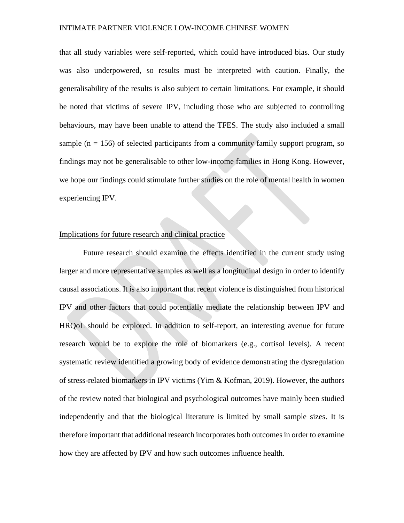that all study variables were self-reported, which could have introduced bias. Our study was also underpowered, so results must be interpreted with caution. Finally, the generalisability of the results is also subject to certain limitations. For example, it should be noted that victims of severe IPV, including those who are subjected to controlling behaviours, may have been unable to attend the TFES. The study also included a small sample ( $n = 156$ ) of selected participants from a community family support program, so findings may not be generalisable to other low-income families in Hong Kong. However, we hope our findings could stimulate further studies on the role of mental health in women experiencing IPV.

## Implications for future research and clinical practice

Future research should examine the effects identified in the current study using larger and more representative samples as well as a longitudinal design in order to identify causal associations. It is also important that recent violence is distinguished from historical IPV and other factors that could potentially mediate the relationship between IPV and HRQoL should be explored. In addition to self-report, an interesting avenue for future research would be to explore the role of biomarkers (e.g., cortisol levels). A recent systematic review identified a growing body of evidence demonstrating the dysregulation of stress-related biomarkers in IPV victims (Yim & Kofman, 2019). However, the authors of the review noted that biological and psychological outcomes have mainly been studied independently and that the biological literature is limited by small sample sizes. It is therefore important that additional research incorporates both outcomes in order to examine how they are affected by IPV and how such outcomes influence health.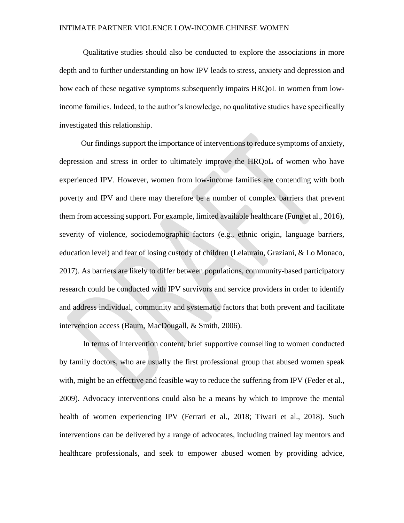Qualitative studies should also be conducted to explore the associations in more depth and to further understanding on how IPV leads to stress, anxiety and depression and how each of these negative symptoms subsequently impairs HRQoL in women from lowincome families. Indeed, to the author's knowledge, no qualitative studies have specifically investigated this relationship.

Our findings support the importance of interventions to reduce symptoms of anxiety, depression and stress in order to ultimately improve the HRQoL of women who have experienced IPV. However, women from low-income families are contending with both poverty and IPV and there may therefore be a number of complex barriers that prevent them from accessing support. For example, limited available healthcare (Fung et al., 2016), severity of violence, sociodemographic factors (e.g., ethnic origin, language barriers, education level) and fear of losing custody of children (Lelaurain, Graziani, & Lo Monaco, 2017). As barriers are likely to differ between populations, community-based participatory research could be conducted with IPV survivors and service providers in order to identify and address individual, community and systematic factors that both prevent and facilitate intervention access (Baum, MacDougall, & Smith, 2006).

In terms of intervention content, brief supportive counselling to women conducted by family doctors, who are usually the first professional group that abused women speak with, might be an effective and feasible way to reduce the suffering from IPV (Feder et al., 2009). Advocacy interventions could also be a means by which to improve the mental health of women experiencing IPV (Ferrari et al., 2018; Tiwari et al., 2018). Such interventions can be delivered by a range of advocates, including trained lay mentors and healthcare professionals, and seek to empower abused women by providing advice,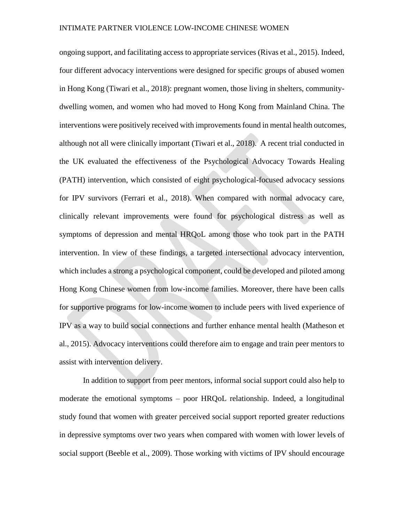ongoing support, and facilitating access to appropriate services (Rivas et al., 2015). Indeed, four different advocacy interventions were designed for specific groups of abused women in Hong Kong (Tiwari et al., 2018): pregnant women, those living in shelters, communitydwelling women, and women who had moved to Hong Kong from Mainland China. The interventions were positively received with improvements found in mental health outcomes, although not all were clinically important (Tiwari et al., 2018). A recent trial conducted in the UK evaluated the effectiveness of the Psychological Advocacy Towards Healing (PATH) intervention, which consisted of eight psychological-focused advocacy sessions for IPV survivors (Ferrari et al., 2018). When compared with normal advocacy care, clinically relevant improvements were found for psychological distress as well as symptoms of depression and mental HRQoL among those who took part in the PATH intervention. In view of these findings, a targeted intersectional advocacy intervention, which includes a strong a psychological component, could be developed and piloted among Hong Kong Chinese women from low-income families. Moreover, there have been calls for supportive programs for low-income women to include peers with lived experience of IPV as a way to build social connections and further enhance mental health (Matheson et al., 2015). Advocacy interventions could therefore aim to engage and train peer mentors to assist with intervention delivery.

In addition to support from peer mentors, informal social support could also help to moderate the emotional symptoms – poor HRQoL relationship. Indeed, a longitudinal study found that women with greater perceived social support reported greater reductions in depressive symptoms over two years when compared with women with lower levels of social support (Beeble et al., 2009). Those working with victims of IPV should encourage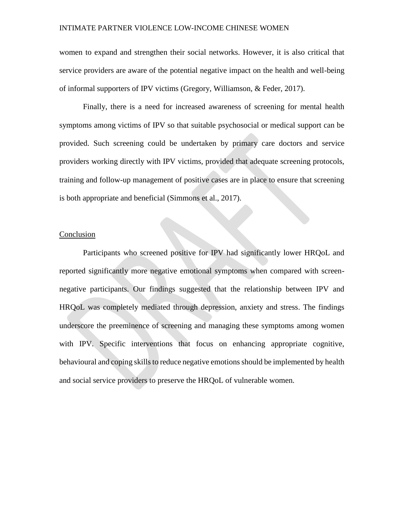women to expand and strengthen their social networks. However, it is also critical that service providers are aware of the potential negative impact on the health and well-being of informal supporters of IPV victims (Gregory, Williamson, & Feder, 2017).

Finally, there is a need for increased awareness of screening for mental health symptoms among victims of IPV so that suitable psychosocial or medical support can be provided. Such screening could be undertaken by primary care doctors and service providers working directly with IPV victims, provided that adequate screening protocols, training and follow-up management of positive cases are in place to ensure that screening is both appropriate and beneficial (Simmons et al., 2017).

## Conclusion

Participants who screened positive for IPV had significantly lower HRQoL and reported significantly more negative emotional symptoms when compared with screennegative participants. Our findings suggested that the relationship between IPV and HRQoL was completely mediated through depression, anxiety and stress. The findings underscore the preeminence of screening and managing these symptoms among women with IPV. Specific interventions that focus on enhancing appropriate cognitive, behavioural and coping skills to reduce negative emotions should be implemented by health and social service providers to preserve the HRQoL of vulnerable women.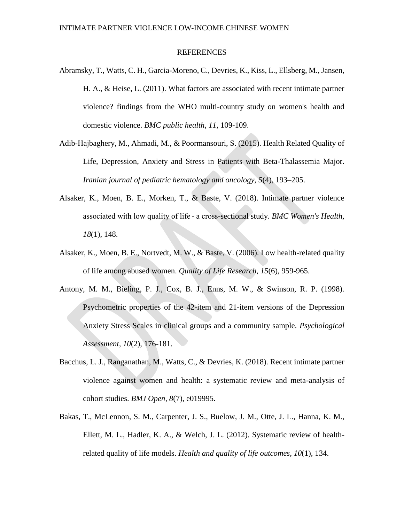## REFERENCES

- Abramsky, T., Watts, C. H., Garcia-Moreno, C., Devries, K., Kiss, L., Ellsberg, M., Jansen, H. A., & Heise, L. (2011). What factors are associated with recent intimate partner violence? findings from the WHO multi-country study on women's health and domestic violence. *BMC public health, 11*, 109-109.
- Adib-Hajbaghery, M., Ahmadi, M., & Poormansouri, S. (2015). Health Related Quality of Life, Depression, Anxiety and Stress in Patients with Beta-Thalassemia Major. *Iranian journal of pediatric hematology and oncology, 5*(4), 193–205.
- Alsaker, K., Moen, B. E., Morken, T., & Baste, V. (2018). Intimate partner violence associated with low quality of life - a cross-sectional study. *BMC Women's Health, 18*(1), 148.
- Alsaker, K., Moen, B. E., Nortvedt, M. W., & Baste, V. (2006). Low health-related quality of life among abused women. *Quality of Life Research, 15*(6), 959-965.
- Antony, M. M., Bieling, P. J., Cox, B. J., Enns, M. W., & Swinson, R. P. (1998). Psychometric properties of the 42-item and 21-item versions of the Depression Anxiety Stress Scales in clinical groups and a community sample. *Psychological Assessment, 10*(2), 176-181.
- Bacchus, L. J., Ranganathan, M., Watts, C., & Devries, K. (2018). Recent intimate partner violence against women and health: a systematic review and meta-analysis of cohort studies. *BMJ Open, 8*(7), e019995.
- Bakas, T., McLennon, S. M., Carpenter, J. S., Buelow, J. M., Otte, J. L., Hanna, K. M., Ellett, M. L., Hadler, K. A., & Welch, J. L. (2012). Systematic review of healthrelated quality of life models. *Health and quality of life outcomes, 10*(1), 134.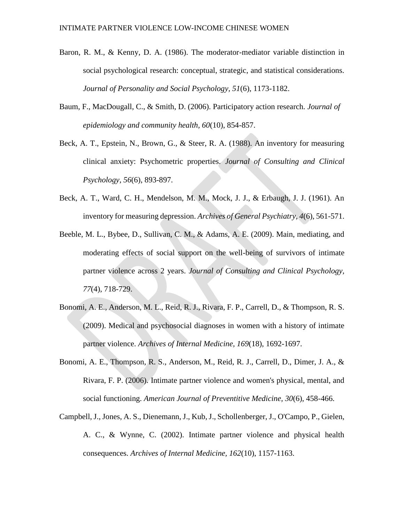- Baron, R. M., & Kenny, D. A. (1986). The moderator-mediator variable distinction in social psychological research: conceptual, strategic, and statistical considerations. *Journal of Personality and Social Psychology, 51*(6), 1173-1182.
- Baum, F., MacDougall, C., & Smith, D. (2006). Participatory action research. *Journal of epidemiology and community health, 60*(10), 854-857.
- Beck, A. T., Epstein, N., Brown, G., & Steer, R. A. (1988). An inventory for measuring clinical anxiety: Psychometric properties. *Journal of Consulting and Clinical Psychology, 56*(6), 893-897.
- Beck, A. T., Ward, C. H., Mendelson, M. M., Mock, J. J., & Erbaugh, J. J. (1961). An inventory for measuring depression. *Archives of General Psychiatry, 4*(6), 561-571.
- Beeble, M. L., Bybee, D., Sullivan, C. M., & Adams, A. E. (2009). Main, mediating, and moderating effects of social support on the well-being of survivors of intimate partner violence across 2 years. *Journal of Consulting and Clinical Psychology, 77*(4), 718-729.
- Bonomi, A. E., Anderson, M. L., Reid, R. J., Rivara, F. P., Carrell, D., & Thompson, R. S. (2009). Medical and psychosocial diagnoses in women with a history of intimate partner violence. *Archives of Internal Medicine, 169*(18), 1692-1697.
- Bonomi, A. E., Thompson, R. S., Anderson, M., Reid, R. J., Carrell, D., Dimer, J. A., & Rivara, F. P. (2006). Intimate partner violence and women's physical, mental, and social functioning. *American Journal of Preventitive Medicine, 30*(6), 458-466.
- Campbell, J., Jones, A. S., Dienemann, J., Kub, J., Schollenberger, J., O'Campo, P., Gielen, A. C., & Wynne, C. (2002). Intimate partner violence and physical health consequences. *Archives of Internal Medicine, 162*(10), 1157-1163.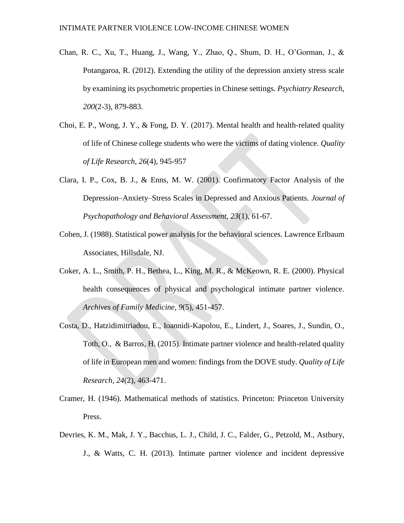- Chan, R. C., Xu, T., Huang, J., Wang, Y., Zhao, Q., Shum, D. H., O'Gorman, J., & Potangaroa, R. (2012). Extending the utility of the depression anxiety stress scale by examining its psychometric properties in Chinese settings. *Psychiatry Research, 200*(2-3), 879-883.
- Choi, E. P., Wong, J. Y., & Fong, D. Y. (2017). Mental health and health-related quality of life of Chinese college students who were the victims of dating violence. *Quality of Life Research*, *26*(4), 945-957
- Clara, I. P., Cox, B. J., & Enns, M. W. (2001). Confirmatory Factor Analysis of the Depression–Anxiety–Stress Scales in Depressed and Anxious Patients. *Journal of Psychopathology and Behavioral Assessment, 23*(1), 61-67.
- Cohen, J. (1988). Statistical power analysis for the behavioral sciences. Lawrence Erlbaum Associates, Hillsdale, NJ.
- Coker, A. L., Smith, P. H., Bethea, L., King, M. R., & McKeown, R. E. (2000). Physical health consequences of physical and psychological intimate partner violence. *Archives of Family Medicine, 9*(5), 451-457.
- Costa, D., Hatzidimitriadou, E., Ioannidi-Kapolou, E., Lindert, J., Soares, J., Sundin, O., Toth, O., & Barros, H. (2015). Intimate partner violence and health-related quality of life in European men and women: findings from the DOVE study. *Quality of Life Research, 24*(2), 463-471.
- Cramer, H. (1946). Mathematical methods of statistics. Princeton: Princeton University Press.
- Devries, K. M., Mak, J. Y., Bacchus, L. J., Child, J. C., Falder, G., Petzold, M., Astbury, J., & Watts, C. H. (2013). Intimate partner violence and incident depressive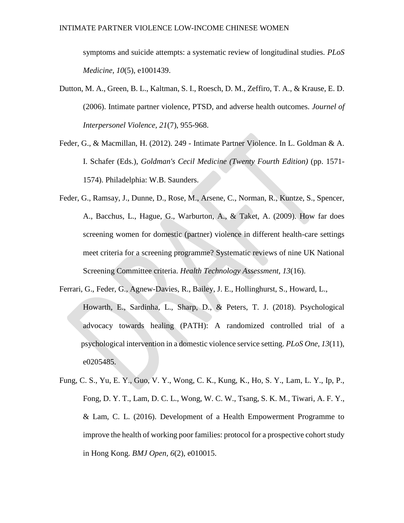symptoms and suicide attempts: a systematic review of longitudinal studies. *PLoS Medicine, 10*(5), e1001439.

- Dutton, M. A., Green, B. L., Kaltman, S. I., Roesch, D. M., Zeffiro, T. A., & Krause, E. D. (2006). Intimate partner violence, PTSD, and adverse health outcomes. *Journel of Interpersonel Violence, 21*(7), 955-968.
- Feder, G., & Macmillan, H. (2012). 249 Intimate Partner Violence. In L. Goldman & A. I. Schafer (Eds.), *Goldman's Cecil Medicine (Twenty Fourth Edition)* (pp. 1571- 1574). Philadelphia: W.B. Saunders.
- Feder, G., Ramsay, J., Dunne, D., Rose, M., Arsene, C., Norman, R., Kuntze, S., Spencer, A., Bacchus, L., Hague, G., Warburton, A., & Taket, A. (2009). How far does screening women for domestic (partner) violence in different health-care settings meet criteria for a screening programme? Systematic reviews of nine UK National Screening Committee criteria. *Health Technology Assessment, 13*(16).
- Ferrari, G., Feder, G., Agnew-Davies, R., Bailey, J. E., Hollinghurst, S., Howard, L., Howarth, E., Sardinha, L., Sharp, D., & Peters, T. J. (2018). Psychological advocacy towards healing (PATH): A randomized controlled trial of a psychological intervention in a domestic violence service setting. *PLoS One, 13*(11), e0205485.
- Fung, C. S., Yu, E. Y., Guo, V. Y., Wong, C. K., Kung, K., Ho, S. Y., Lam, L. Y., Ip, P., Fong, D. Y. T., Lam, D. C. L., Wong, W. C. W., Tsang, S. K. M., Tiwari, A. F. Y., & Lam, C. L. (2016). Development of a Health Empowerment Programme to improve the health of working poor families: protocol for a prospective cohort study in Hong Kong. *BMJ Open, 6*(2), e010015.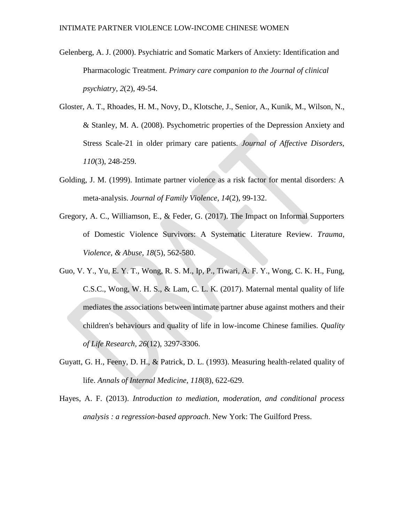- Gelenberg, A. J. (2000). Psychiatric and Somatic Markers of Anxiety: Identification and Pharmacologic Treatment. *Primary care companion to the Journal of clinical psychiatry, 2*(2), 49-54.
- Gloster, A. T., Rhoades, H. M., Novy, D., Klotsche, J., Senior, A., Kunik, M., Wilson, N., & Stanley, M. A. (2008). Psychometric properties of the Depression Anxiety and Stress Scale-21 in older primary care patients. *Journal of Affective Disorders, 110*(3), 248-259.
- Golding, J. M. (1999). Intimate partner violence as a risk factor for mental disorders: A meta-analysis. *Journal of Family Violence, 14*(2), 99-132.
- Gregory, A. C., Williamson, E., & Feder, G. (2017). The Impact on Informal Supporters of Domestic Violence Survivors: A Systematic Literature Review. *Trauma, Violence, & Abuse, 18*(5), 562-580.
- Guo, V. Y., Yu, E. Y. T., Wong, R. S. M., Ip, P., Tiwari, A. F. Y., Wong, C. K. H., Fung, C.S.C., Wong, W. H. S., & Lam, C. L. K. (2017). Maternal mental quality of life mediates the associations between intimate partner abuse against mothers and their children's behaviours and quality of life in low-income Chinese families. *Quality of Life Research, 26*(12), 3297-3306.
- Guyatt, G. H., Feeny, D. H., & Patrick, D. L. (1993). Measuring health-related quality of life. *Annals of Internal Medicine, 118*(8), 622-629.
- Hayes, A. F. (2013). *Introduction to mediation, moderation, and conditional process analysis : a regression-based approach*. New York: The Guilford Press.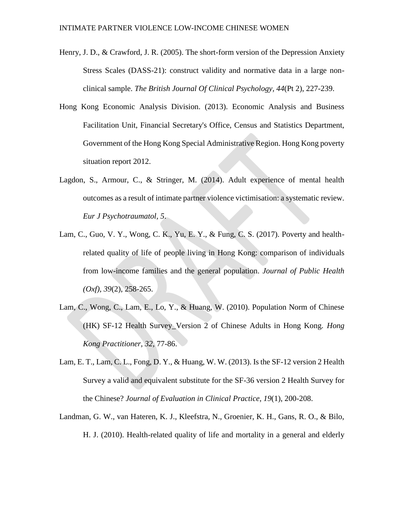- Henry, J. D., & Crawford, J. R. (2005). The short-form version of the Depression Anxiety Stress Scales (DASS-21): construct validity and normative data in a large nonclinical sample. *The British Journal Of Clinical Psychology, 44*(Pt 2), 227-239.
- Hong Kong Economic Analysis Division. (2013). Economic Analysis and Business Facilitation Unit, Financial Secretary's Office, Census and Statistics Department, Government of the Hong Kong Special Administrative Region. Hong Kong poverty situation report 2012.
- Lagdon, S., Armour, C., & Stringer, M. (2014). Adult experience of mental health outcomes as a result of intimate partner violence victimisation: a systematic review. *Eur J Psychotraumatol, 5*.
- Lam, C., Guo, V. Y., Wong, C. K., Yu, E. Y., & Fung, C. S. (2017). Poverty and healthrelated quality of life of people living in Hong Kong: comparison of individuals from low-income families and the general population. *Journal of Public Health (Oxf), 39*(2), 258-265.
- Lam, C., Wong, C., Lam, E., Lo, Y., & Huang, W. (2010). Population Norm of Chinese (HK) SF-12 Health Survey\_Version 2 of Chinese Adults in Hong Kong. *Hong Kong Practitioner, 32*, 77-86.
- Lam, E. T., Lam, C. L., Fong, D. Y., & Huang, W. W. (2013). Is the SF-12 version 2 Health Survey a valid and equivalent substitute for the SF-36 version 2 Health Survey for the Chinese? *Journal of Evaluation in Clinical Practice, 19*(1), 200-208.
- Landman, G. W., van Hateren, K. J., Kleefstra, N., Groenier, K. H., Gans, R. O., & Bilo, H. J. (2010). Health-related quality of life and mortality in a general and elderly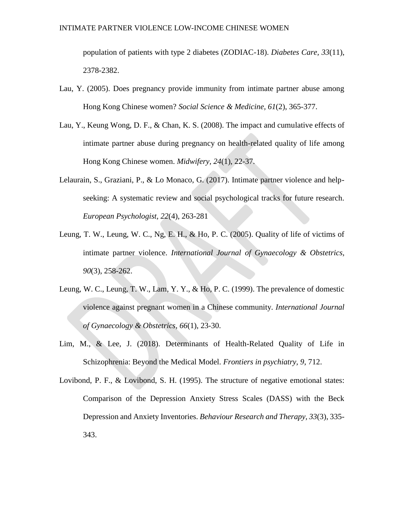population of patients with type 2 diabetes (ZODIAC-18). *Diabetes Care, 33*(11), 2378-2382.

- Lau, Y. (2005). Does pregnancy provide immunity from intimate partner abuse among Hong Kong Chinese women? *Social Science & Medicine, 61*(2), 365-377.
- Lau, Y., Keung Wong, D. F., & Chan, K. S. (2008). The impact and cumulative effects of intimate partner abuse during pregnancy on health-related quality of life among Hong Kong Chinese women. *Midwifery, 24*(1), 22-37.
- Lelaurain, S., Graziani, P., & Lo Monaco, G. (2017). Intimate partner violence and helpseeking: A systematic review and social psychological tracks for future research. *European Psychologist, 22*(4), 263-281
- Leung, T. W., Leung, W. C., Ng, E. H., & Ho, P. C. (2005). Quality of life of victims of intimate partner violence. *International Journal of Gynaecology & Obstetrics, 90*(3), 258-262.
- Leung, W. C., Leung, T. W., Lam, Y. Y., & Ho, P. C. (1999). The prevalence of domestic violence against pregnant women in a Chinese community. *International Journal of Gynaecology & Obstetrics, 66*(1), 23-30.
- Lim, M., & Lee, J. (2018). Determinants of Health-Related Quality of Life in Schizophrenia: Beyond the Medical Model. *Frontiers in psychiatry, 9*, 712.
- Lovibond, P. F., & Lovibond, S. H. (1995). The structure of negative emotional states: Comparison of the Depression Anxiety Stress Scales (DASS) with the Beck Depression and Anxiety Inventories. *Behaviour Research and Therapy, 33*(3), 335- 343.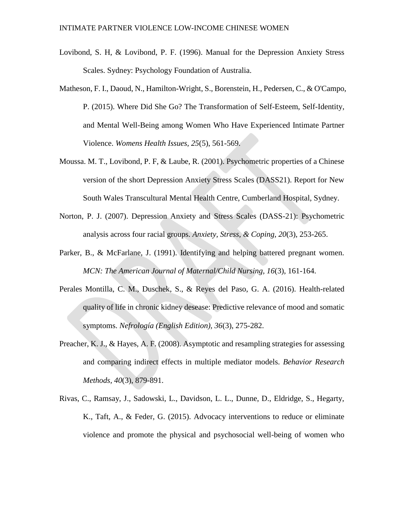- Lovibond, S. H, & Lovibond, P. F. (1996). Manual for the Depression Anxiety Stress Scales. Sydney: Psychology Foundation of Australia.
- Matheson, F. I., Daoud, N., Hamilton-Wright, S., Borenstein, H., Pedersen, C., & O'Campo, P. (2015). Where Did She Go? The Transformation of Self-Esteem, Self-Identity, and Mental Well-Being among Women Who Have Experienced Intimate Partner Violence. *Womens Health Issues, 25*(5), 561-569.
- Moussa. M. T., Lovibond, P. F, & Laube, R. (2001). Psychometric properties of a Chinese version of the short Depression Anxiety Stress Scales (DASS21). Report for New South Wales Transcultural Mental Health Centre, Cumberland Hospital, Sydney.
- Norton, P. J. (2007). Depression Anxiety and Stress Scales (DASS-21): Psychometric analysis across four racial groups. *Anxiety, Stress, & Coping, 20*(3), 253-265.
- Parker, B., & McFarlane, J. (1991). Identifying and helping battered pregnant women. *MCN: The American Journal of Maternal/Child Nursing, 16*(3), 161-164.
- Perales Montilla, C. M., Duschek, S., & Reyes del Paso, G. A. (2016). Health-related quality of life in chronic kidney desease: Predictive relevance of mood and somatic symptoms. *Nefrología (English Edition), 36*(3), 275-282.
- Preacher, K. J., & Hayes, A. F. (2008). Asymptotic and resampling strategies for assessing and comparing indirect effects in multiple mediator models. *Behavior Research Methods, 40*(3), 879-891.
- Rivas, C., Ramsay, J., Sadowski, L., Davidson, L. L., Dunne, D., Eldridge, S., Hegarty, K., Taft, A., & Feder, G. (2015). Advocacy interventions to reduce or eliminate violence and promote the physical and psychosocial well-being of women who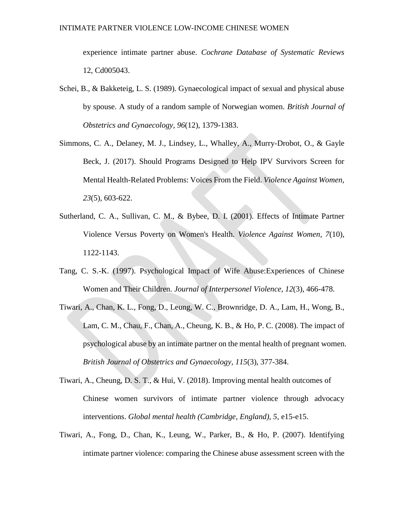experience intimate partner abuse. *Cochrane Database of Systematic Reviews*  12, Cd005043.

- Schei, B., & Bakketeig, L. S. (1989). Gynaecological impact of sexual and physical abuse by spouse. A study of a random sample of Norwegian women. *British Journal of Obstetrics and Gynaecology, 96*(12), 1379-1383.
- Simmons, C. A., Delaney, M. J., Lindsey, L., Whalley, A., Murry-Drobot, O., & Gayle Beck, J. (2017). Should Programs Designed to Help IPV Survivors Screen for Mental Health-Related Problems: Voices From the Field. *Violence Against Women, 23*(5), 603-622.
- Sutherland, C. A., Sullivan, C. M., & Bybee, D. I. (2001). Effects of Intimate Partner Violence Versus Poverty on Women's Health. *Violence Against Women, 7*(10), 1122-1143.
- Tang, C. S.-K. (1997). Psychological Impact of Wife Abuse:Experiences of Chinese Women and Their Children. *Journal of Interpersonel Violence, 12*(3), 466-478.
- Tiwari, A., Chan, K. L., Fong, D., Leung, W. C., Brownridge, D. A., Lam, H., Wong, B., Lam, C. M., Chau, F., Chan, A., Cheung, K. B., & Ho, P. C. (2008). The impact of psychological abuse by an intimate partner on the mental health of pregnant women. *British Journal of Obstetrics and Gynaecology, 115*(3), 377-384.
- Tiwari, A., Cheung, D. S. T., & Hui, V. (2018). Improving mental health outcomes of Chinese women survivors of intimate partner violence through advocacy interventions. *Global mental health (Cambridge, England), 5*, e15-e15.
- Tiwari, A., Fong, D., Chan, K., Leung, W., Parker, B., & Ho, P. (2007). Identifying intimate partner violence: comparing the Chinese abuse assessment screen with the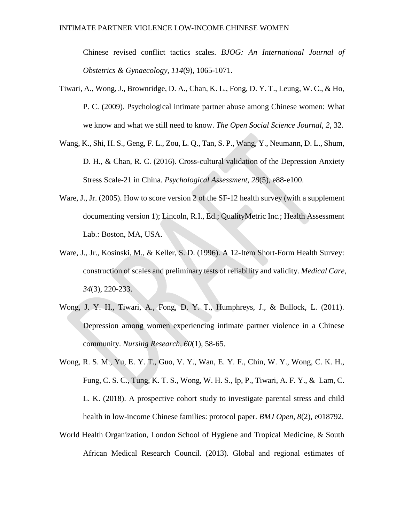Chinese revised conflict tactics scales. *BJOG: An International Journal of Obstetrics & Gynaecology, 114*(9), 1065-1071.

- Tiwari, A., Wong, J., Brownridge, D. A., Chan, K. L., Fong, D. Y. T., Leung, W. C., & Ho, P. C. (2009). Psychological intimate partner abuse among Chinese women: What we know and what we still need to know. *The Open Social Science Journal, 2*, 32.
- Wang, K., Shi, H. S., Geng, F. L., Zou, L. Q., Tan, S. P., Wang, Y., Neumann, D. L., Shum, D. H., & Chan, R. C. (2016). Cross-cultural validation of the Depression Anxiety Stress Scale-21 in China. *Psychological Assessment, 28*(5), e88-e100.
- Ware, J., Jr. (2005). How to score version 2 of the SF-12 health survey (with a supplement documenting version 1); Lincoln, R.I., Ed.; QualityMetric Inc.; Health Assessment Lab.: Boston, MA, USA.
- Ware, J., Jr., Kosinski, M., & Keller, S. D. (1996). A 12-Item Short-Form Health Survey: construction of scales and preliminary tests of reliability and validity. *Medical Care, 34*(3), 220-233.
- Wong, J. Y. H., Tiwari, A., Fong, D. Y. T., Humphreys, J., & Bullock, L. (2011). Depression among women experiencing intimate partner violence in a Chinese community. *Nursing Research, 60*(1), 58-65.
- Wong, R. S. M., Yu, E. Y. T., Guo, V. Y., Wan, E. Y. F., Chin, W. Y., Wong, C. K. H., Fung, C. S. C., Tung, K. T. S., Wong, W. H. S., Ip, P., Tiwari, A. F. Y., & Lam, C. L. K. (2018). A prospective cohort study to investigate parental stress and child health in low-income Chinese families: protocol paper. *BMJ Open, 8*(2), e018792.
- World Health Organization, London School of Hygiene and Tropical Medicine, & South African Medical Research Council. (2013). Global and regional estimates of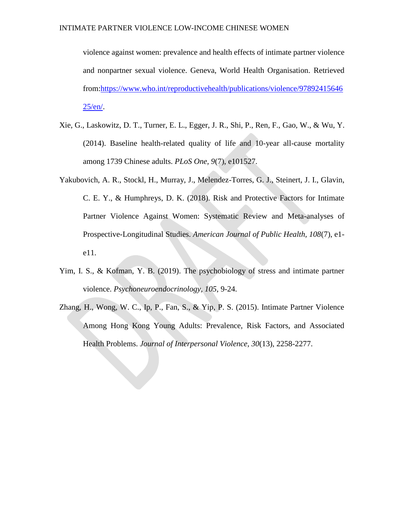violence against women: prevalence and health effects of intimate partner violence and nonpartner sexual violence. Geneva, World Health Organisation. Retrieved from[:https://www.who.int/reproductivehealth/publications/violence/97892415646](https://www.who.int/reproductivehealth/publications/violence/9789241564625/en/)  $25/en/$ .

- Xie, G., Laskowitz, D. T., Turner, E. L., Egger, J. R., Shi, P., Ren, F., Gao, W., & Wu, Y. (2014). Baseline health-related quality of life and 10-year all-cause mortality among 1739 Chinese adults. *PLoS One, 9*(7), e101527.
- Yakubovich, A. R., Stockl, H., Murray, J., Melendez-Torres, G. J., Steinert, J. I., Glavin, C. E. Y., & Humphreys, D. K. (2018). Risk and Protective Factors for Intimate Partner Violence Against Women: Systematic Review and Meta-analyses of Prospective-Longitudinal Studies. *American Journal of Public Health, 108*(7), e1 e11.
- Yim, I. S., & Kofman, Y. B. (2019). The psychobiology of stress and intimate partner violence. *Psychoneuroendocrinology, 105*, 9-24.
- Zhang, H., Wong, W. C., Ip, P., Fan, S., & Yip, P. S. (2015). Intimate Partner Violence Among Hong Kong Young Adults: Prevalence, Risk Factors, and Associated Health Problems. *Journal of Interpersonal Violence, 30*(13), 2258-2277.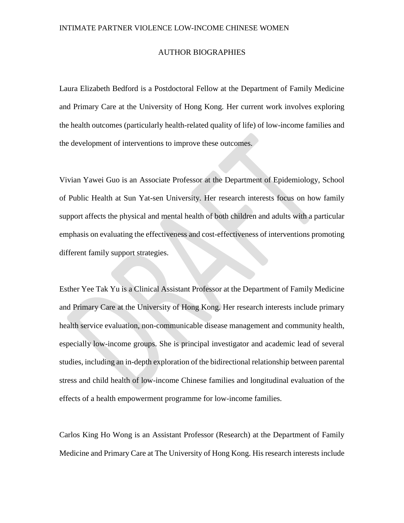## AUTHOR BIOGRAPHIES

Laura Elizabeth Bedford is a Postdoctoral Fellow at the Department of Family Medicine and Primary Care at the University of Hong Kong. Her current work involves exploring the health outcomes (particularly health-related quality of life) of low-income families and the development of interventions to improve these outcomes.

Vivian Yawei Guo is an Associate Professor at the Department of Epidemiology, School of Public Health at Sun Yat-sen University. Her research interests focus on how family support affects the physical and mental health of both children and adults with a particular emphasis on evaluating the effectiveness and cost-effectiveness of interventions promoting different family support strategies.

Esther Yee Tak Yu is a Clinical Assistant Professor at the Department of Family Medicine and Primary Care at the University of Hong Kong. Her research interests include primary health service evaluation, non-communicable disease management and community health, especially low-income groups. She is principal investigator and academic lead of several studies, including an in-depth exploration of the bidirectional relationship between parental stress and child health of low-income Chinese families and longitudinal evaluation of the effects of a health empowerment programme for low-income families.

Carlos King Ho Wong is an Assistant Professor (Research) at the Department of Family Medicine and Primary Care at The University of Hong Kong. His research interests include